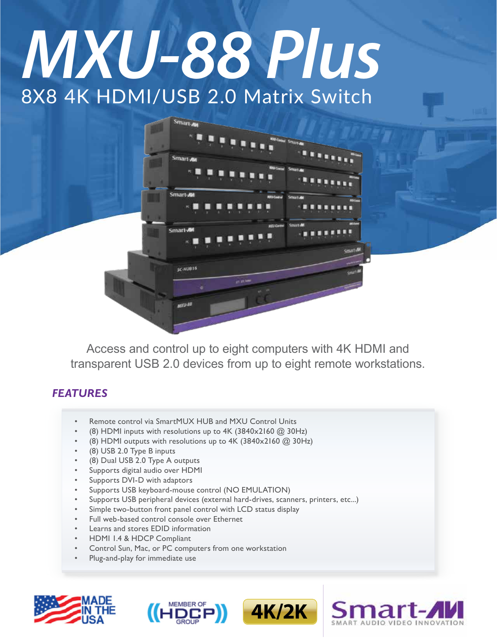# *MXU-88 Plus* 8X8 4K HDMI/USB 2.0 Matrix Switch

Smart Av

Smart Au

Smart-AW

Smart-M

SC-HUB16

 $2011 - 33$ 

Access and control up to eight computers with 4K HDMI and transparent USB 2.0 devices from up to eight remote workstations.

# *FEATURES*

- Remote control via SmartMUX HUB and MXU Control Units
- (8) HDMI inputs with resolutions up to 4K (3840x2160 @ 30Hz)
- (8) HDMI outputs with resolutions up to  $4K$  (3840x2160  $@$  30Hz)
- (8) USB 2.0 Type B inputs
- (8) Dual USB 2.0 Type A outputs
- Supports digital audio over HDMI
- Supports DVI-D with adaptors
- Supports USB keyboard-mouse control (NO EMULATION)
- Supports USB peripheral devices (external hard-drives, scanners, printers, etc...)
- Simple two-button front panel control with LCD status display
- Full web-based control console over Ethernet
- Learns and stores EDID information
- HDMI 1.4 & HDCP Compliant
- Control Sun, Mac, or PC computers from one workstation
- Plug-and-play for immediate use







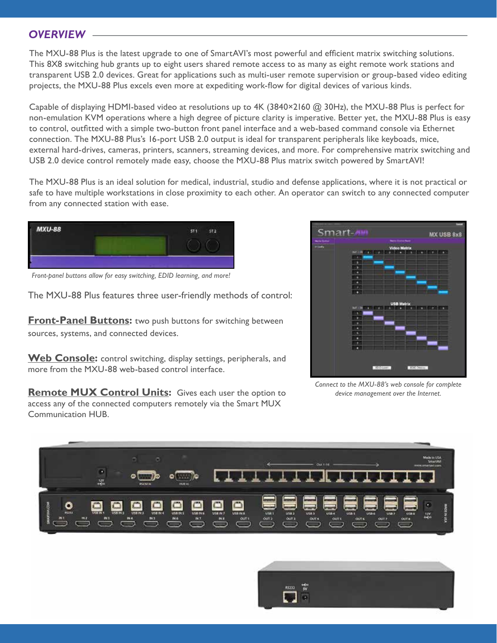# *OVERVIEW*

The MXU-88 Plus is the latest upgrade to one of SmartAVI's most powerful and efficient matrix switching solutions. This 8X8 switching hub grants up to eight users shared remote access to as many as eight remote work stations and transparent USB 2.0 devices. Great for applications such as multi-user remote supervision or group-based video editing projects, the MXU-88 Plus excels even more at expediting work-flow for digital devices of various kinds.

Capable of displaying HDMI-based video at resolutions up to 4K (3840×2160 @ 30Hz), the MXU-88 Plus is perfect for non-emulation KVM operations where a high degree of picture clarity is imperative. Better yet, the MXU-88 Plus is easy to control, outfitted with a simple two-button front panel interface and a web-based command console via Ethernet connection. The MXU-88 Plus's 16-port USB 2.0 output is ideal for transparent peripherals like keyboads, mice, external hard-drives, cameras, printers, scanners, streaming devices, and more. For comprehensive matrix switching and USB 2.0 device control remotely made easy, choose the MXU-88 Plus matrix switch powered by SmartAVI!

The MXU-88 Plus is an ideal solution for medical, industrial, studio and defense applications, where it is not practical or safe to have multiple workstations in close proximity to each other. An operator can switch to any connected computer from any connected station with ease.



*Front-panel buttons allow for easy switching, EDID learning, and more!*

The MXU-88 Plus features three user-friendly methods of control:

**Front-Panel Buttons:** two push buttons for switching between sources, systems, and connected devices.

**Web Console:** control switching, display settings, peripherals, and more from the MXU-88 web-based control interface.

**Remote MUX Control Units:** Gives each user the option to access any of the connected computers remotely via the Smart MUX Communication HUB.



*Connect to the MXU-88's web console for complete device management over the Internet.*



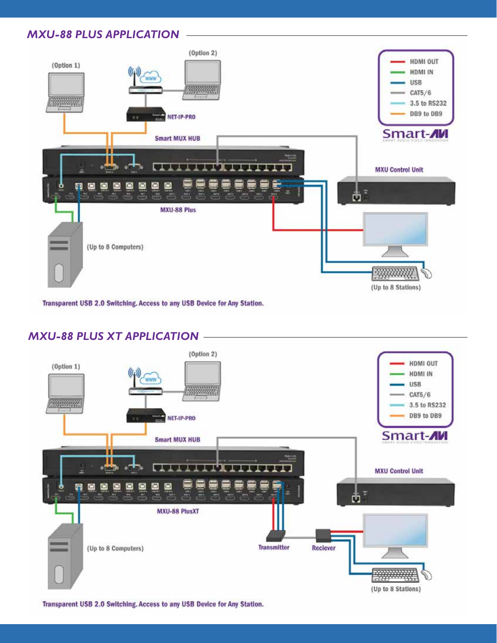# *MXU-88 PLUS APPLICATION*



Transparent USB 2.0 Switching. Access to any USB Device for Any Station.

# *MXU-88 PLUS XT APPLICATION*



Transparent USB 2.0 Switching. Access to any USB Device for Any Station.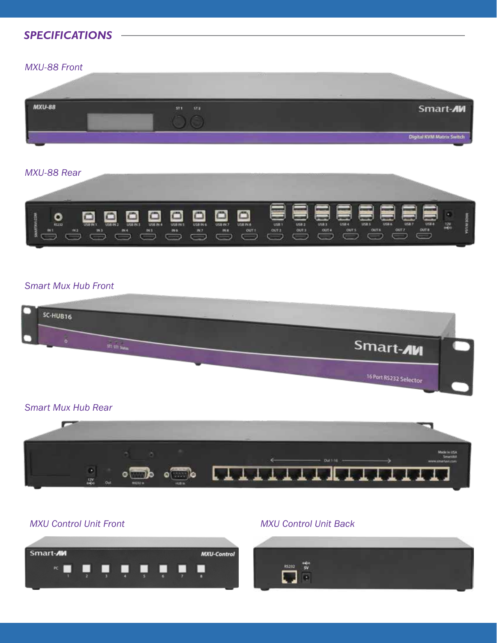# *SPECIFICATIONS*

#### *MXU-88 Front*



#### *MXU-88 Rear*



### *Smart Mux Hub Front*

| 55031350<br><b>CAN COMPANY &amp; COMPANY</b><br><b>PARTICULAR AVEC ADDRESS</b><br>m<br>SC-HUB16 | The Committee<br>The company of the company of the company of the company of the company of the company of the company of the company of the company of the company of the company of the company of the company of the company of the company<br><b>CANAL CO. JOHN</b> |
|-------------------------------------------------------------------------------------------------|-------------------------------------------------------------------------------------------------------------------------------------------------------------------------------------------------------------------------------------------------------------------------|
| С<br>STI STI SURAL                                                                              | Smart-AM                                                                                                                                                                                                                                                                |
|                                                                                                 | 16 Part RS232 Selector                                                                                                                                                                                                                                                  |

#### *Smart Mux Hub Rear*





#### *MXU Control Unit Front MXU Control Unit Back*